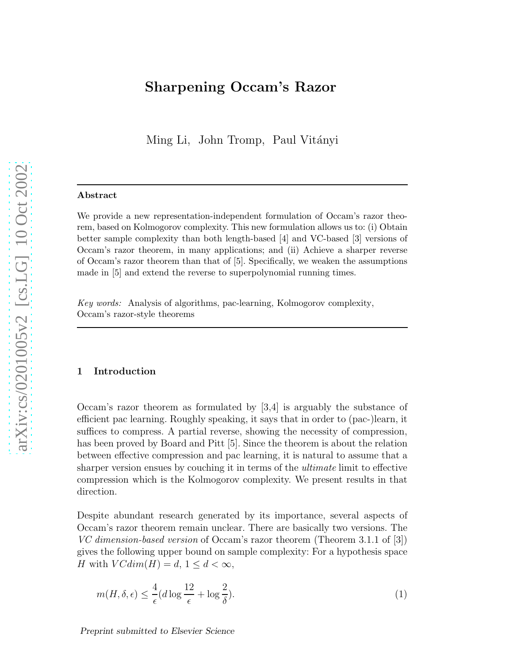# Sharpening Occam's Razor

Ming Li, John Tromp, Paul Vitányi

#### Abstract

We provide a new representation-independent formulation of Occam's razor theorem, based on Kolmogorov complexity. This new formulation allows us to: (i) Obtain better sample complexity than both length-based [4] and VC-based [3] versions of Occam's razor theorem, in many applications; and (ii) Achieve a sharper reverse of Occam's razor theorem than that of [5]. Specifically, we weaken the assumptions made in [5] and extend the reverse to superpolynomial running times.

*Key words:* Analysis of algorithms, pac-learning, Kolmogorov complexity, Occam's razor-style theorems

#### 1 Introduction

Occam's razor theorem as formulated by [3,4] is arguably the substance of efficient pac learning. Roughly speaking, it says that in order to (pac-)learn, it suffices to compress. A partial reverse, showing the necessity of compression, has been proved by Board and Pitt [5]. Since the theorem is about the relation between effective compression and pac learning, it is natural to assume that a sharper version ensues by couching it in terms of the ultimate limit to effective compression which is the Kolmogorov complexity. We present results in that direction.

Despite abundant research generated by its importance, several aspects of Occam's razor theorem remain unclear. There are basically two versions. The VC dimension-based version of Occam's razor theorem (Theorem 3.1.1 of [3]) gives the following upper bound on sample complexity: For a hypothesis space H with  $VCdim(H) = d$ ,  $1 \leq d \leq \infty$ ,

$$
m(H, \delta, \epsilon) \le \frac{4}{\epsilon} (d \log \frac{12}{\epsilon} + \log \frac{2}{\delta}).
$$
\n(1)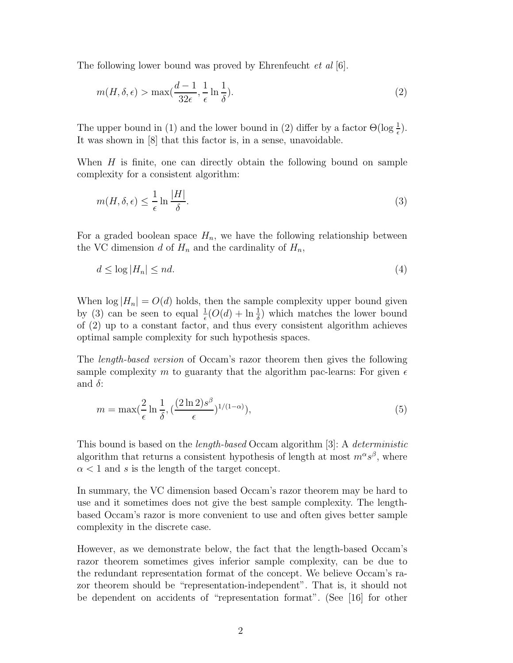The following lower bound was proved by Ehrenfeucht et al [6].

$$
m(H, \delta, \epsilon) > \max(\frac{d-1}{32\epsilon}, \frac{1}{\epsilon} \ln \frac{1}{\delta}).
$$
\n(2)

The upper bound in (1) and the lower bound in (2) differ by a factor  $\Theta(\log \frac{1}{\epsilon})$ . It was shown in [8] that this factor is, in a sense, unavoidable.

When  $H$  is finite, one can directly obtain the following bound on sample complexity for a consistent algorithm:

$$
m(H, \delta, \epsilon) \le \frac{1}{\epsilon} \ln \frac{|H|}{\delta}.
$$
\n<sup>(3)</sup>

For a graded boolean space  $H_n$ , we have the following relationship between the VC dimension d of  $H_n$  and the cardinality of  $H_n$ ,

$$
d \le \log |H_n| \le nd. \tag{4}
$$

When  $\log |H_n| = O(d)$  holds, then the sample complexity upper bound given by (3) can be seen to equal  $\frac{1}{\epsilon}(O(d) + \ln \frac{1}{\delta})$  which matches the lower bound of (2) up to a constant factor, and thus every consistent algorithm achieves optimal sample complexity for such hypothesis spaces.

The length-based version of Occam's razor theorem then gives the following sample complexity m to guaranty that the algorithm pac-learns: For given  $\epsilon$ and  $\delta$ :

$$
m = \max(\frac{2}{\epsilon} \ln \frac{1}{\delta}, \left(\frac{(2 \ln 2)s^{\beta}}{\epsilon}\right)^{1/(1-\alpha)}),\tag{5}
$$

This bound is based on the *length-based* Occam algorithm [3]: A *deterministic* algorithm that returns a consistent hypothesis of length at most  $m^{\alpha}s^{\beta}$ , where  $\alpha$  < 1 and s is the length of the target concept.

In summary, the VC dimension based Occam's razor theorem may be hard to use and it sometimes does not give the best sample complexity. The lengthbased Occam's razor is more convenient to use and often gives better sample complexity in the discrete case.

However, as we demonstrate below, the fact that the length-based Occam's razor theorem sometimes gives inferior sample complexity, can be due to the redundant representation format of the concept. We believe Occam's razor theorem should be "representation-independent". That is, it should not be dependent on accidents of "representation format". (See [16] for other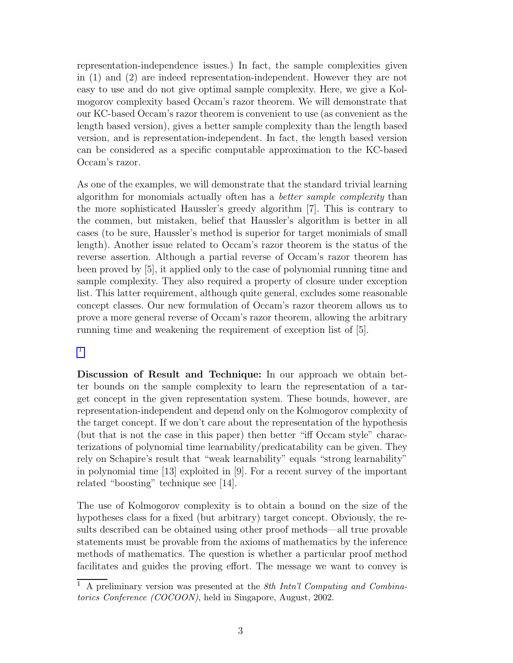representation-independence issues.) In fact, the sample complexities given in (1) and (2) are indeed representation-independent. However they are not easy to use and do not give optimal sample complexity. Here, we give a Kolmogorov complexity based Occam's razor theorem. We will demonstrate that our KC-based Occam's razor theorem is convenient to use (as convenient as the length based version), gives a better sample complexity than the length based version, and is representation-independent. In fact, the length based version can be considered as a specific computable approximation to the KC-based Occam's razor.

As one of the examples, we will demonstrate that the standard trivial learning algorithm for monomials actually often has a *better sample complexity* than the more sophisticated Haussler's greedy algorithm [7]. This is contrary to the commen, but mistaken, belief that Haussler's algorithm is better in all cases (to be sure, Haussler's method is superior for target monimials of small length). Another issue related to Occam's razor theorem is the status of the reverse assertion. Although a partial reverse of Occam's razor theorem has been proved by [5], it applied only to the case of polynomial running time and sample complexity. They also required a property of closure under exception list. This latter requirement, although quite general, excludes some reasonable concept classes. Our new formulation of Occam's razor theorem allows us to prove a more general reverse of Occam's razor theorem, allowing the arbitrary running time and weakening the requirement of exception list of [5].

1

Discussion of Result and Technique: In our approach we obtain better bounds on the sample complexity to learn the representation of a target concept in the given representation system. These bounds, however, are representation-independent and depend only on the Kolmogorov complexity of the target concept. If we don't care about the representation of the hypothesis (but that is not the case in this paper) then better "iff Occam style" characterizations of polynomial time learnability/predicatability can be given. They rely on Schapire's result that "weak learnability" equals "strong learnability" in polynomial time [13] exploited in [9]. For a recent survey of the important related "boosting" technique see [14].

The use of Kolmogorov complexity is to obtain a bound on the size of the hypotheses class for a fixed (but arbitrary) target concept. Obviously, the results described can be obtained using other proof methods—all true provable statements must be provable from the axioms of mathematics by the inference methods of mathematics. The question is whether a particular proof method facilitates and guides the proving effort. The message we want to convey is

<sup>1</sup> A preliminary version was presented at the *8th Intn'l Computing and Combinatorics Conference (COCOON)*, held in Singapore, August, 2002.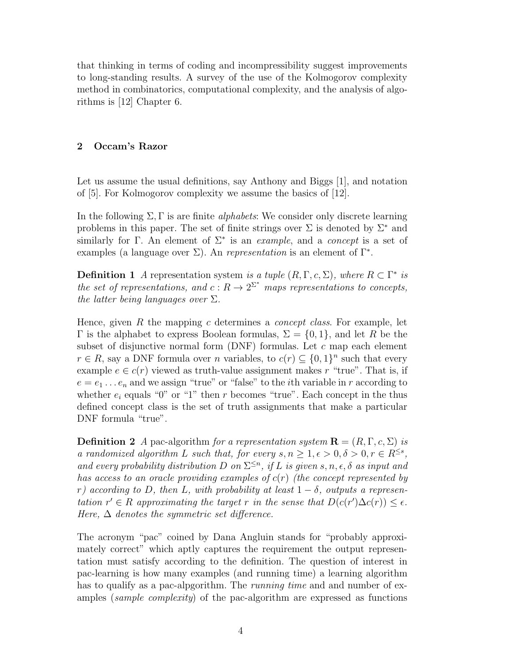that thinking in terms of coding and incompressibility suggest improvements to long-standing results. A survey of the use of the Kolmogorov complexity method in combinatorics, computational complexity, and the analysis of algorithms is [12] Chapter 6.

## 2 Occam's Razor

Let us assume the usual definitions, say Anthony and Biggs [1], and notation of [5]. For Kolmogorov complexity we assume the basics of [12].

In the following  $\Sigma$ , Γ is are finite *alphabets*: We consider only discrete learning problems in this paper. The set of finite strings over  $\Sigma$  is denoted by  $\Sigma^*$  and similarly for Γ. An element of  $\Sigma^*$  is an *example*, and a *concept* is a set of examples (a language over  $\Sigma$ ). An *representation* is an element of  $\Gamma^*$ .

**Definition 1** A representation system is a tuple  $(R, \Gamma, c, \Sigma)$ , where  $R \subset \Gamma^*$  is the set of representations, and  $c: R \to 2^{\Sigma^*}$  maps representations to concepts, the latter being languages over  $\Sigma$ .

Hence, given R the mapping c determines a *concept class*. For example, let Γ is the alphabet to express Boolean formulas,  $\Sigma = \{0, 1\}$ , and let R be the subset of disjunctive normal form  $(DNF)$  formulas. Let c map each element  $r \in R$ , say a DNF formula over *n* variables, to  $c(r) \subseteq \{0,1\}^n$  such that every example  $e \in c(r)$  viewed as truth-value assignment makes r "true". That is, if  $e = e_1 \dots e_n$  and we assign "true" or "false" to the *i*th variable in r according to whether  $e_i$  equals "0" or "1" then r becomes "true". Each concept in the thus defined concept class is the set of truth assignments that make a particular DNF formula "true".

**Definition 2** A pac-algorithm for a representation system  $\mathbf{R} = (R, \Gamma, c, \Sigma)$  is a randomized algorithm L such that, for every  $s, n \geq 1, \epsilon > 0, \delta > 0, r \in R^{\leq s}$ , and every probability distribution D on  $\Sigma^{\leq n}$ , if L is given  $s, n, \epsilon, \delta$  as input and has access to an oracle providing examples of  $c(r)$  (the concept represented by r) according to D, then L, with probability at least  $1 - \delta$ , outputs a representation  $r' \in R$  approximating the target r in the sense that  $D(c(r')\Delta c(r)) \leq \epsilon$ . Here,  $\Delta$  denotes the symmetric set difference.

The acronym "pac" coined by Dana Angluin stands for "probably approximately correct" which aptly captures the requirement the output representation must satisfy according to the definition. The question of interest in pac-learning is how many examples (and running time) a learning algorithm has to qualify as a pac-alpgorithm. The *running time* and and number of examples (sample complexity) of the pac-algorithm are expressed as functions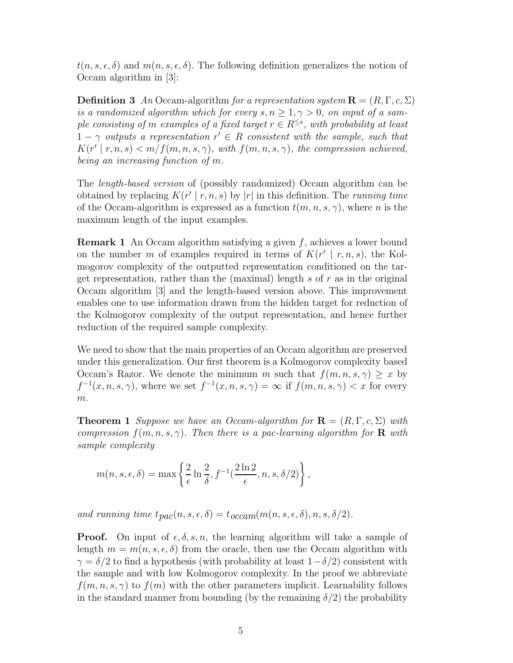$t(n, s, \epsilon, \delta)$  and  $m(n, s, \epsilon, \delta)$ . The following definition generalizes the notion of Occam algorithm in [3]:

**Definition 3** An Occam-algorithm for a representation system  $\mathbf{R} = (R, \Gamma, c, \Sigma)$ is a randomized algorithm which for every  $s, n \geq 1, \gamma > 0$ , on input of a sample consisting of m examples of a fixed target  $r \in R^{\leq s}$ , with probability at least  $1 - \gamma$  outputs a representation  $r' \in R$  consistent with the sample, such that  $K(r' | r, n, s) < m/f(m, n, s, \gamma)$ , with  $f(m, n, s, \gamma)$ , the compression achieved, being an increasing function of m.

The length-based version of (possibly randomized) Occam algorithm can be obtained by replacing  $K(r' | r, n, s)$  by  $|r|$  in this definition. The *running time* of the Occam-algorithm is expressed as a function  $t(m, n, s, \gamma)$ , where n is the maximum length of the input examples.

Remark 1 An Occam algorithm satisfying a given f, achieves a lower bound on the number m of examples required in terms of  $K(r' | r, n, s)$ , the Kolmogorov complexity of the outputted representation conditioned on the target representation, rather than the (maximal) length s of  $r$  as in the original Occam algorithm [3] and the length-based version above. This improvement enables one to use information drawn from the hidden target for reduction of the Kolmogorov complexity of the output representation, and hence further reduction of the required sample complexity.

We need to show that the main properties of an Occam algorithm are preserved under this generalization. Our first theorem is a Kolmogorov complexity based Occam's Razor. We denote the minimum m such that  $f(m, n, s, \gamma) \geq x$  by  $f^{-1}(x, n, s, \gamma)$ , where we set  $f^{-1}(x, n, s, \gamma) = \infty$  if  $f(m, n, s, \gamma) < x$  for every  $m$ .

**Theorem 1** Suppose we have an Occam-algorithm for  $\mathbf{R} = (R, \Gamma, c, \Sigma)$  with compression  $f(m, n, s, \gamma)$ . Then there is a pac-learning algorithm for **R** with sample complexity

$$
m(n, s, \epsilon, \delta) = \max \left\{ \frac{2}{\epsilon} \ln \frac{2}{\delta}, f^{-1}(\frac{2 \ln 2}{\epsilon}, n, s, \delta/2) \right\},\,
$$

and running time  $t_{pac}(n, s, \epsilon, \delta) = t_{occam}(m(n, s, \epsilon, \delta), n, s, \delta/2).$ 

**Proof.** On input of  $\epsilon$ ,  $\delta$ ,  $s$ ,  $n$ , the learning algorithm will take a sample of length  $m = m(n, s, \epsilon, \delta)$  from the oracle, then use the Occam algorithm with  $\gamma = \delta/2$  to find a hypothesis (with probability at least  $1-\delta/2$ ) consistent with the sample and with low Kolmogorov complexity. In the proof we abbreviate  $f(m, n, s, \gamma)$  to  $f(m)$  with the other parameters implicit. Learnability follows in the standard manner from bounding (by the remaining  $\delta/2$ ) the probability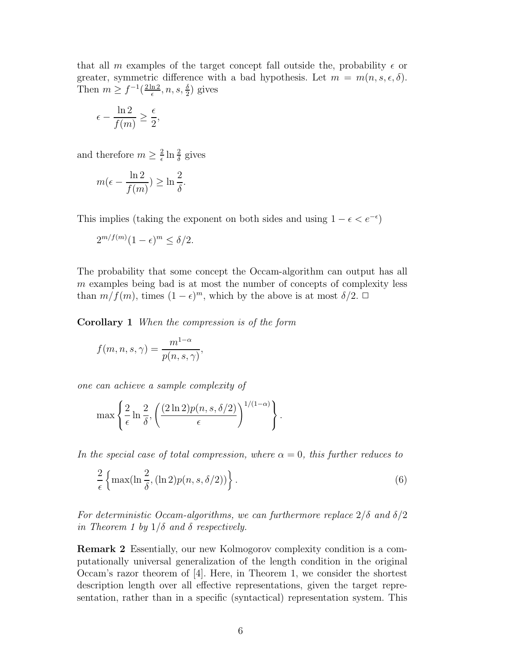that all m examples of the target concept fall outside the, probability  $\epsilon$  or greater, symmetric difference with a bad hypothesis. Let  $m = m(n, s, \epsilon, \delta)$ . Then  $m \geq f^{-1}(\frac{2\ln 2}{\epsilon})$  $\frac{\ln 2}{\epsilon}, n, s, \frac{\delta}{2}$  gives

$$
\epsilon - \frac{\ln 2}{f(m)} \geq \frac{\epsilon}{2},
$$

and therefore  $m \geq \frac{2}{\epsilon}$  $\frac{2}{\epsilon} \ln \frac{2}{\delta}$  gives

$$
m(\epsilon - \frac{\ln 2}{f(m)}) \ge \ln \frac{2}{\delta}.
$$

This implies (taking the exponent on both sides and using  $1 - \epsilon < e^{-\epsilon}$ )

$$
2^{m/f(m)}(1-\epsilon)^m \le \delta/2.
$$

The probability that some concept the Occam-algorithm can output has all m examples being bad is at most the number of concepts of complexity less than  $m/f(m)$ , times  $(1 - \epsilon)^m$ , which by the above is at most  $\delta/2$ .  $\Box$ 

Corollary 1 When the compression is of the form

$$
f(m, n, s, \gamma) = \frac{m^{1-\alpha}}{p(n, s, \gamma)},
$$

one can achieve a sample complexity of

$$
\max\left\{\frac{2}{\epsilon}\ln\frac{2}{\delta}, \left(\frac{(2\ln 2)p(n,s,\delta/2)}{\epsilon}\right)^{1/(1-\alpha)}\right\}.
$$

In the special case of total compression, where  $\alpha = 0$ , this further reduces to

$$
\frac{2}{\epsilon} \left\{ \max(\ln \frac{2}{\delta}, (\ln 2)p(n, s, \delta/2)) \right\}.
$$
 (6)

For deterministic Occam-algorithms, we can furthermore replace  $2/\delta$  and  $\delta/2$ in Theorem 1 by  $1/\delta$  and  $\delta$  respectively.

Remark 2 Essentially, our new Kolmogorov complexity condition is a computationally universal generalization of the length condition in the original Occam's razor theorem of [4]. Here, in Theorem 1, we consider the shortest description length over all effective representations, given the target representation, rather than in a specific (syntactical) representation system. This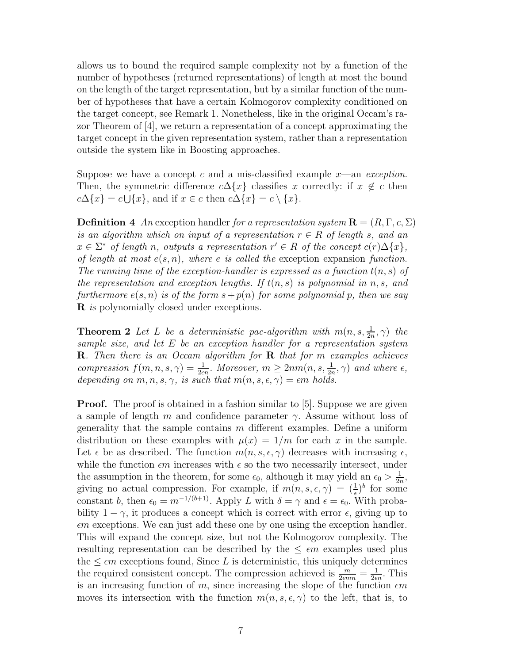allows us to bound the required sample complexity not by a function of the number of hypotheses (returned representations) of length at most the bound on the length of the target representation, but by a similar function of the number of hypotheses that have a certain Kolmogorov complexity conditioned on the target concept, see Remark 1. Nonetheless, like in the original Occam's razor Theorem of [4], we return a representation of a concept approximating the target concept in the given representation system, rather than a representation outside the system like in Boosting approaches.

Suppose we have a concept c and a mis-classified example  $x$ —an exception. Then, the symmetric difference  $c\Delta\{x\}$  classifies x correctly: if  $x \notin c$  then  $c\Delta\{x\} = c\bigcup\{x\},\$ and if  $x \in c$  then  $c\Delta\{x\} = c \setminus \{x\}.$ 

**Definition** 4 An exception handler for a representation system  $\mathbf{R} = (R, \Gamma, c, \Sigma)$ is an algorithm which on input of a representation  $r \in R$  of length s, and an  $x \in \Sigma^*$  of length n, outputs a representation  $r' \in R$  of the concept  $c(r)\Delta\{x\}$ , of length at most  $e(s, n)$ , where e is called the exception expansion function. The running time of the exception-handler is expressed as a function  $t(n, s)$  of the representation and exception lengths. If  $t(n, s)$  is polynomial in n, s, and furthermore  $e(s, n)$  is of the form  $s + p(n)$  for some polynomial p, then we say **R** is polynomially closed under exceptions.

**Theorem 2** Let L be a deterministic pac-algorithm with  $m(n, s, \frac{1}{2n}, \gamma)$  the sample size, and let E be an exception handler for a representation system **R**. Then there is an Occam algorithm for **R** that for m examples achieves compression  $f(m, n, s, \gamma) = \frac{1}{2\epsilon n}$ . Moreover,  $m \geq 2nm(n, s, \frac{1}{2n}, \gamma)$  and where  $\epsilon$ , depending on  $m, n, s, \gamma$ , is such that  $m(n, s, \epsilon, \gamma) = \epsilon m$  holds.

**Proof.** The proof is obtained in a fashion similar to [5]. Suppose we are given a sample of length m and confidence parameter  $\gamma$ . Assume without loss of generality that the sample contains  $m$  different examples. Define a uniform distribution on these examples with  $\mu(x) = 1/m$  for each x in the sample. Let  $\epsilon$  be as described. The function  $m(n, s, \epsilon, \gamma)$  decreases with increasing  $\epsilon$ , while the function  $\epsilon m$  increases with  $\epsilon$  so the two necessarily intersect, under the assumption in the theorem, for some  $\epsilon_0$ , although it may yield an  $\epsilon_0 > \frac{1}{2i}$  $\frac{1}{2n}$ giving no actual compression. For example, if  $m(n, s, \epsilon, \gamma) = (\frac{1}{\epsilon})^b$  for some constant b, then  $\epsilon_0 = m^{-1/(b+1)}$ . Apply L with  $\delta = \gamma$  and  $\epsilon = \epsilon_0$ . With probability  $1 - \gamma$ , it produces a concept which is correct with error  $\epsilon$ , giving up to  $\epsilon m$  exceptions. We can just add these one by one using the exception handler. This will expand the concept size, but not the Kolmogorov complexity. The resulting representation can be described by the  $\leq \epsilon m$  examples used plus the  $\leq \epsilon m$  exceptions found, Since L is deterministic, this uniquely determines the required consistent concept. The compression achieved is  $\frac{m}{2\epsilon m n} = \frac{1}{2\epsilon}$  $\frac{1}{2\epsilon n}$ . This is an increasing function of m, since increasing the slope of the function  $\epsilon m$ moves its intersection with the function  $m(n, s, \epsilon, \gamma)$  to the left, that is, to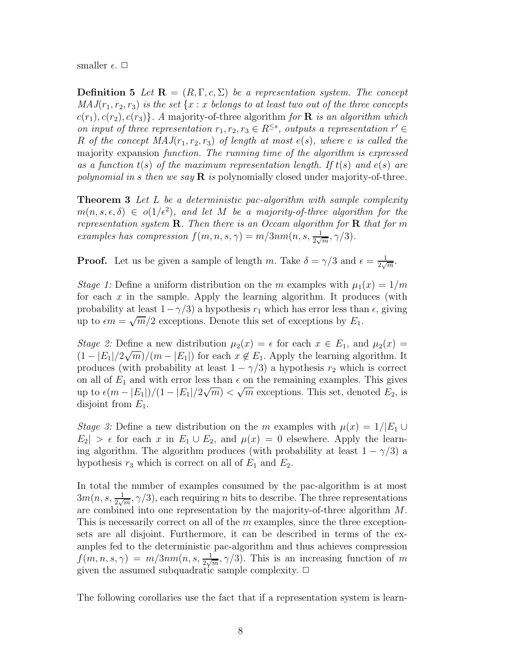smaller  $\epsilon$ .  $\Box$ 

**Definition 5** Let  $\mathbf{R} = (R, \Gamma, c, \Sigma)$  be a representation system. The concept  $MAJ(r_1, r_2, r_3)$  is the set  $\{x : x \text{ belongs to at least two out of the three concepts}$  $c(r_1), c(r_2), c(r_3)$ . A majority-of-three algorithm for **R** is an algorithm which on input of three representation  $r_1, r_2, r_3 \in R^{\leq s}$ , outputs a representation  $r' \in$ R of the concept  $MAJ(r_1, r_2, r_3)$  of length at most  $e(s)$ , where e is called the majority expansion function. The running time of the algorithm is expressed as a function  $t(s)$  of the maximum representation length. If  $t(s)$  and  $e(s)$  are polynomial in s then we say  $\bf{R}$  is polynomially closed under majority-of-three.

**Theorem 3** Let L be a deterministic pac-algorithm with sample complexity  $m(n, s, \epsilon, \delta) \in o(1/\epsilon^2)$ , and let M be a majority-of-three algorithm for the representation system  $\mathbf R$ . Then there is an Occam algorithm for  $\mathbf R$  that for m examples has compression  $f(m, n, s, \gamma) = m/3nm(n, s, \frac{1}{2\sqrt{m}}, \gamma/3)$ .

**Proof.** Let us be given a sample of length m. Take  $\delta = \gamma/3$  and  $\epsilon = \frac{1}{2\sqrt{3}}$  $\frac{1}{2\sqrt{m}}$ .

Stage 1: Define a uniform distribution on the m examples with  $\mu_1(x) = 1/m$ for each  $x$  in the sample. Apply the learning algorithm. It produces (with probability at least  $1-\gamma/3$ ) a hypothesis  $r_1$  which has error less than  $\epsilon$ , giving up to  $\epsilon m = \sqrt{m}/2$  exceptions. Denote this set of exceptions by  $E_1$ .

Stage 2: Define a new distribution  $\mu_2(x) = \epsilon$  for each  $x \in E_1$ , and  $\mu_2(x) =$  $(1 - |E_1|/2\sqrt{m})/(m - |E_1|)$  for each  $x \notin E_1$ . Apply the learning algorithm. It produces (with probability at least  $1 - \gamma/3$ ) a hypothesis  $r_2$  which is correct on all of  $E_1$  and with error less than  $\epsilon$  on the remaining examples. This gives up to  $\epsilon(m - |E_1|)/(1 - |E_1|/2\sqrt{m}) < \sqrt{m}$  exceptions. This set, denoted  $E_2$ , is disjoint from  $E_1$ .

Stage 3: Define a new distribution on the m examples with  $\mu(x) = 1/|E_1 \cup E_2|$  $E_2| > \epsilon$  for each x in  $E_1 \cup E_2$ , and  $\mu(x) = 0$  elsewhere. Apply the learning algorithm. The algorithm produces (with probability at least  $1 - \gamma/3$ ) a hypothesis  $r_3$  which is correct on all of  $E_1$  and  $E_2$ .

In total the number of examples consumed by the pac-algorithm is at most  $3m(n, s, \frac{1}{2\sqrt{m}}, \gamma/3)$ , each requiring n bits to describe. The three representations are combined into one representation by the majority-of-three algorithm M. This is necessarily correct on all of the  $m$  examples, since the three exceptionsets are all disjoint. Furthermore, it can be described in terms of the examples fed to the deterministic pac-algorithm and thus achieves compression  $f(m, n, s, \gamma) = m/3nm(n, s, \frac{1}{2\sqrt{m}}, \gamma/3)$ . This is an increasing function of m given the assumed subquadratic sample complexity.  $\Box$ 

The following corollaries use the fact that if a representation system is learn-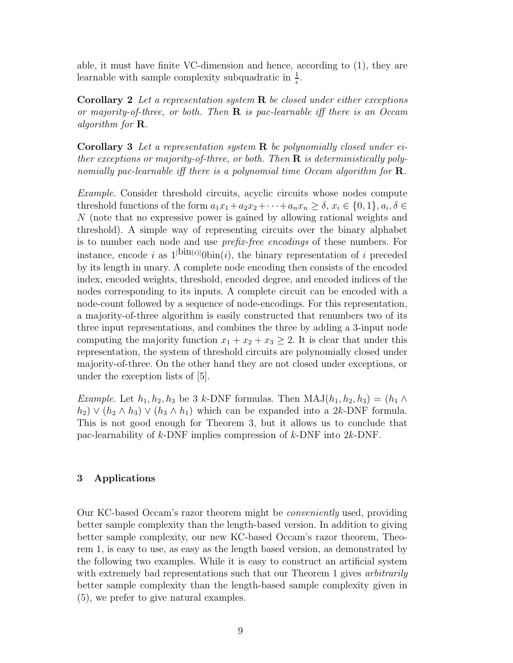able, it must have finite VC-dimension and hence, according to (1), they are learnable with sample complexity subquadratic in  $\frac{1}{\epsilon}$ .

**Corollary 2** Let a representation system  $\bf{R}$  be closed under either exceptions or majority-of-three, or both. Then  $\bf{R}$  is pac-learnable iff there is an Occam algorithm for R.

**Corollary 3** Let a representation system  $\bf{R}$  be polynomially closed under either exceptions or majority-of-three, or both. Then  $\bf R$  is deterministically polynomially pac-learnable iff there is a polynomial time Occam algorithm for  $\mathbf{R}$ .

Example. Consider threshold circuits, acyclic circuits whose nodes compute threshold functions of the form  $a_1x_1 + a_2x_2 + \cdots + a_nx_n \ge \delta$ ,  $x_i \in \{0, 1\}$ ,  $a_i, \delta \in$ N (note that no expressive power is gained by allowing rational weights and threshold). A simple way of representing circuits over the binary alphabet is to number each node and use prefix-free encodings of these numbers. For instance, encode i as  $1^{|\text{bin}(i)|}$  (bin(i), the binary representation of i preceded by its length in unary. A complete node encoding then consists of the encoded index, encoded weights, threshold, encoded degree, and encoded indices of the nodes corresponding to its inputs. A complete circuit can be encoded with a node-count followed by a sequence of node-encodings. For this representation, a majority-of-three algorithm is easily constructed that renumbers two of its three input representations, and combines the three by adding a 3-input node computing the majority function  $x_1 + x_2 + x_3 \geq 2$ . It is clear that under this representation, the system of threshold circuits are polynomially closed under majority-of-three. On the other hand they are not closed under exceptions, or under the exception lists of [5].

*Example.* Let  $h_1, h_2, h_3$  be 3 k-DNF formulas. Then  $MAJ(h_1, h_2, h_3) = (h_1 \wedge$  $(h_2) \vee (h_2 \wedge h_3) \vee (h_3 \wedge h_1)$  which can be expanded into a 2k-DNF formula. This is not good enough for Theorem 3, but it allows us to conclude that pac-learnability of k-DNF implies compression of k-DNF into 2k-DNF.

# 3 Applications

Our KC-based Occam's razor theorem might be conveniently used, providing better sample complexity than the length-based version. In addition to giving better sample complexity, our new KC-based Occam's razor theorem, Theorem 1, is easy to use, as easy as the length based version, as demonstrated by the following two examples. While it is easy to construct an artificial system with extremely bad representations such that our Theorem 1 gives *arbitrarily* better sample complexity than the length-based sample complexity given in (5), we prefer to give natural examples.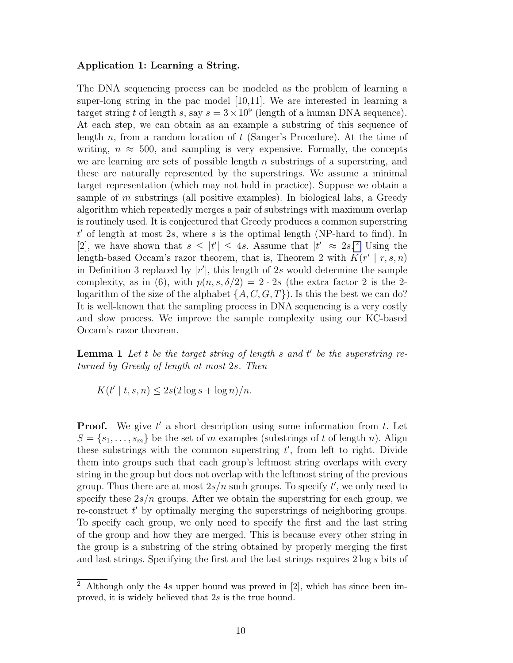#### Application 1: Learning a String.

The DNA sequencing process can be modeled as the problem of learning a super-long string in the pac model [10,11]. We are interested in learning a target string t of length s, say  $s = 3 \times 10^9$  (length of a human DNA sequence). At each step, we can obtain as an example a substring of this sequence of length  $n$ , from a random location of  $t$  (Sanger's Procedure). At the time of writing,  $n \approx 500$ , and sampling is very expensive. Formally, the concepts we are learning are sets of possible length  $n$  substrings of a superstring, and these are naturally represented by the superstrings. We assume a minimal target representation (which may not hold in practice). Suppose we obtain a sample of  $m$  substrings (all positive examples). In biological labs, a Greedy algorithm which repeatedly merges a pair of substrings with maximum overlap is routinely used. It is conjectured that Greedy produces a common superstring  $t'$  of length at most 2s, where s is the optimal length (NP-hard to find). In [2], we have shown that  $s \leq |t'| \leq 4s$ . Assume that  $|t'| \approx 2s$ . Using the length-based Occam's razor theorem, that is, Theorem 2 with  $K(r' | r, s, n)$ in Definition 3 replaced by  $|r'|$ , this length of 2s would determine the sample complexity, as in (6), with  $p(n, s, \delta/2) = 2 \cdot 2s$  (the extra factor 2 is the 2logarithm of the size of the alphabet  $\{A, C, G, T\}$ ). Is this the best we can do? It is well-known that the sampling process in DNA sequencing is a very costly and slow process. We improve the sample complexity using our KC-based Occam's razor theorem.

**Lemma 1** Let t be the target string of length s and  $t'$  be the superstring returned by Greedy of length at most 2s. Then

$$
K(t' \mid t, s, n) \le 2s(2 \log s + \log n)/n.
$$

**Proof.** We give  $t'$  a short description using some information from  $t$ . Let  $S = \{s_1, \ldots, s_m\}$  be the set of m examples (substrings of t of length n). Align these substrings with the common superstring  $t'$ , from left to right. Divide them into groups such that each group's leftmost string overlaps with every string in the group but does not overlap with the leftmost string of the previous group. Thus there are at most  $2s/n$  such groups. To specify  $t'$ , we only need to specify these  $2s/n$  groups. After we obtain the superstring for each group, we re-construct t' by optimally merging the superstrings of neighboring groups. To specify each group, we only need to specify the first and the last string of the group and how they are merged. This is because every other string in the group is a substring of the string obtained by properly merging the first and last strings. Specifying the first and the last strings requires 2 log s bits of

<sup>&</sup>lt;sup>2</sup> Although only the 4s upper bound was proved in [2], which has since been improved, it is widely believed that 2s is the true bound.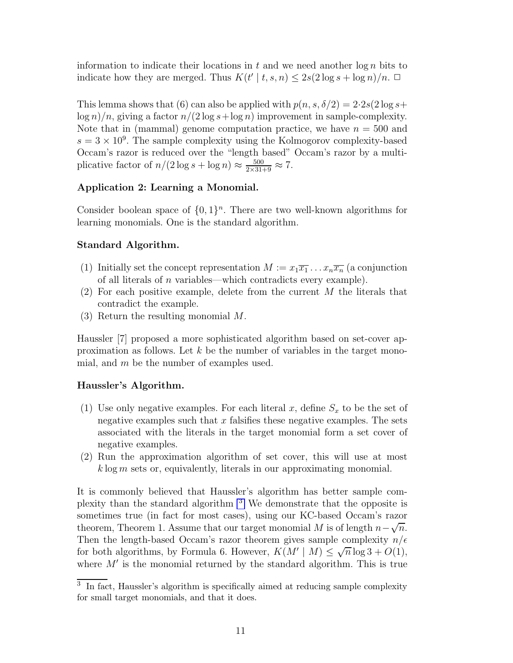information to indicate their locations in t and we need another  $\log n$  bits to indicate how they are merged. Thus  $K(t' | t, s, n) \leq 2s(2 \log s + \log n)/n$ .  $\Box$ 

This lemma shows that (6) can also be applied with  $p(n, s, \delta/2) = 2.2s(2 \log s +$  $\log n/n$ , giving a factor  $n/(2 \log s + \log n)$  improvement in sample-complexity. Note that in (mammal) genome computation practice, we have  $n = 500$  and  $s = 3 \times 10^9$ . The sample complexity using the Kolmogorov complexity-based Occam's razor is reduced over the "length based" Occam's razor by a multiplicative factor of  $n/(2 \log s + \log n) \approx \frac{500}{2 \times 31 + 9} \approx 7$ .

# Application 2: Learning a Monomial.

Consider boolean space of  $\{0,1\}^n$ . There are two well-known algorithms for learning monomials. One is the standard algorithm.

# Standard Algorithm.

- (1) Initially set the concept representation  $M := x_1 \overline{x_1} \dots x_n \overline{x_n}$  (a conjunction of all literals of n variables—which contradicts every example).
- (2) For each positive example, delete from the current M the literals that contradict the example.
- (3) Return the resulting monomial M.

Haussler [7] proposed a more sophisticated algorithm based on set-cover approximation as follows. Let  $k$  be the number of variables in the target monomial, and  $m$  be the number of examples used.

## Haussler's Algorithm.

- (1) Use only negative examples. For each literal x, define  $S_x$  to be the set of negative examples such that x falsifies these negative examples. The sets associated with the literals in the target monomial form a set cover of negative examples.
- (2) Run the approximation algorithm of set cover, this will use at most  $k \log m$  sets or, equivalently, literals in our approximating monomial.

It is commonly believed that Haussler's algorithm has better sample complexity than the standard algorithm <sup>3</sup> We demonstrate that the opposite is sometimes true (in fact for most cases), using our KC-based Occam's razor theorem, Theorem 1. Assume that our target monomial M is of length  $n-\sqrt{n}$ . Then the length-based Occam's razor theorem gives sample complexity  $n/\epsilon$ for both algorithms, by Formula 6. However,  $K(M' | M) \leq \sqrt{n} \log 3 + O(1)$ , where  $M'$  is the monomial returned by the standard algorithm. This is true

<sup>&</sup>lt;sup>3</sup> In fact, Haussler's algorithm is specifically aimed at reducing sample complexity for small target monomials, and that it does.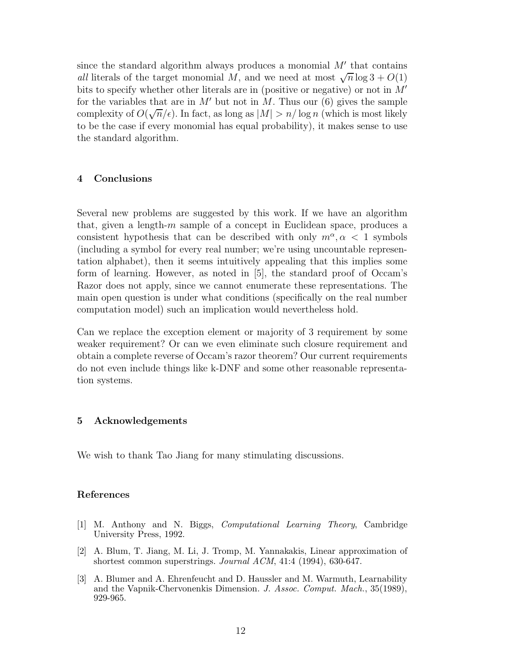since the standard algorithm always produces a monomial  $M'$  that contains all literals of the target monomial M, and we need at most  $\sqrt{n} \log 3 + O(1)$ bits to specify whether other literals are in (positive or negative) or not in  $M'$ for the variables that are in M' but not in M. Thus our  $(6)$  gives the sample complexity of  $O(\sqrt{n}/\epsilon)$ . In fact, as long as  $|M| > n/\log n$  (which is most likely to be the case if every monomial has equal probability), it makes sense to use the standard algorithm.

#### 4 Conclusions

Several new problems are suggested by this work. If we have an algorithm that, given a length-m sample of a concept in Euclidean space, produces a consistent hypothesis that can be described with only  $m^{\alpha}, \alpha < 1$  symbols (including a symbol for every real number; we're using uncountable representation alphabet), then it seems intuitively appealing that this implies some form of learning. However, as noted in [5], the standard proof of Occam's Razor does not apply, since we cannot enumerate these representations. The main open question is under what conditions (specifically on the real number computation model) such an implication would nevertheless hold.

Can we replace the exception element or majority of 3 requirement by some weaker requirement? Or can we even eliminate such closure requirement and obtain a complete reverse of Occam's razor theorem? Our current requirements do not even include things like k-DNF and some other reasonable representation systems.

## 5 Acknowledgements

We wish to thank Tao Jiang for many stimulating discussions.

#### References

- [1] M. Anthony and N. Biggs, *Computational Learning Theory*, Cambridge University Press, 1992.
- [2] A. Blum, T. Jiang, M. Li, J. Tromp, M. Yannakakis, Linear approximation of shortest common superstrings. *Journal ACM*, 41:4 (1994), 630-647.
- [3] A. Blumer and A. Ehrenfeucht and D. Haussler and M. Warmuth, Learnability and the Vapnik-Chervonenkis Dimension. *J. Assoc. Comput. Mach.*, 35(1989), 929-965.